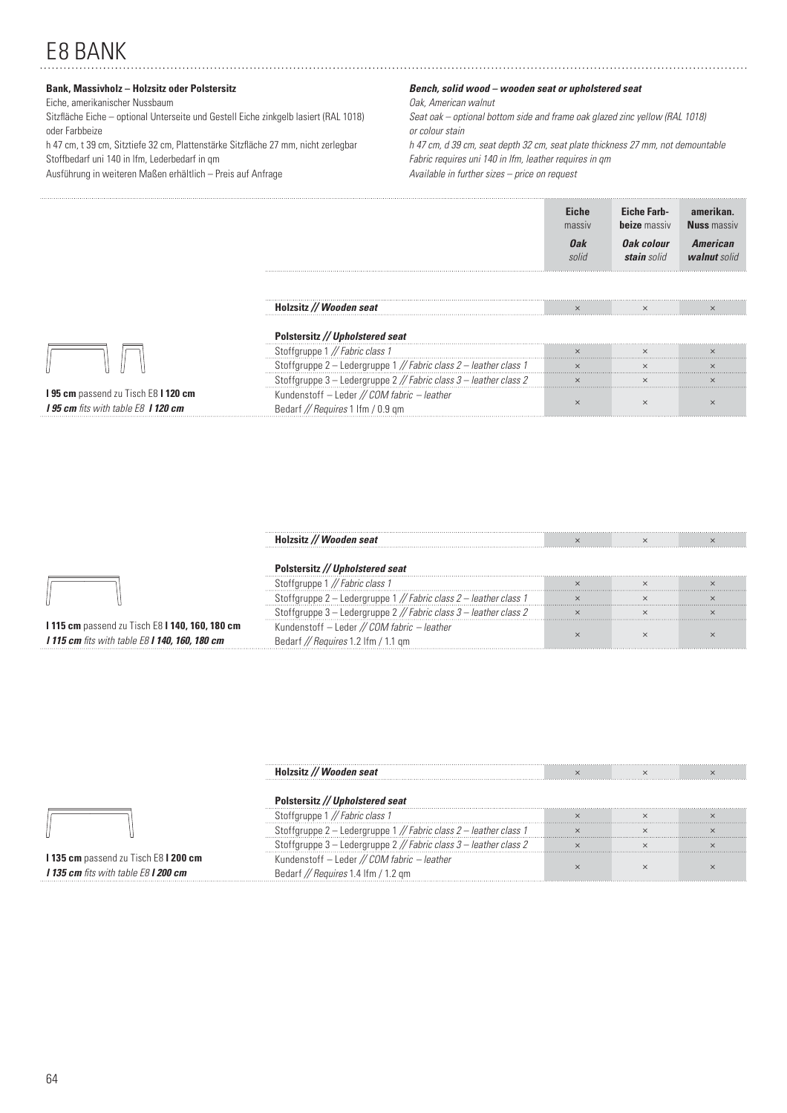# E8 BANK

# **Bank, Massivholz – Holzsitz oder Polstersitz**

## Eiche, amerikanischer Nussbaum

Sitzfläche Eiche – optional Unterseite und Gestell Eiche zinkgelb lasiert (RAL 1018) oder Farbbeize

h 47 cm, t 39 cm, Sitztiefe 32 cm, Plattenstärke Sitzfl äche 27 mm, nicht zerlegbar Stoffbedarf uni 140 in lfm, Lederbedarf in qm

Ausführung in weiteren Maßen erhältlich – Preis auf Anfrage

## *Bench, solid wood – wooden seat or upholstered seat*

Oak, American walnut

Seat oak – optional bottom side and frame oak glazed zinc yellow (RAL 1018) or colour stain

h 47 cm, d 39 cm, seat depth 32 cm, seat plate thickness 27 mm, not demountable Fabric requires uni 140 in lfm, leather requires in qm Available in further sizes – price on request

**Eiche** 

**amerikan.** 

**Eiche Farb-**

|                                                                                         |                                                                                  |              | beize massiv              |                          |
|-----------------------------------------------------------------------------------------|----------------------------------------------------------------------------------|--------------|---------------------------|--------------------------|
|                                                                                         |                                                                                  | 0ak<br>solid | Oak colour<br>stain solid | American<br>walnut solid |
|                                                                                         | Holzsitz // Wooden seat                                                          |              |                           |                          |
|                                                                                         | Polstersitz // Upholstered seat                                                  |              |                           |                          |
|                                                                                         | Stoffgruppe 1 // Fabric class 1                                                  |              |                           |                          |
|                                                                                         | Stoffgruppe 2 - Ledergruppe 1 // Fabric class 2 - leather class 1                |              |                           |                          |
|                                                                                         | Stoffgruppe 3 - Ledergruppe 2 // Fabric class 3 - leather class 2                | $\times$     |                           |                          |
| I 95 cm passend zu Tisch E8 I 120 cm<br><b>195 cm</b> fits with table E8 <b>1120 cm</b> | Kundenstoff - Leder // COM fabric - leather<br>Bedarf // Requires 1 Ifm / 0.9 gm |              |                           |                          |

|                                                              | Wooden seat                                           |  |  |
|--------------------------------------------------------------|-------------------------------------------------------|--|--|
|                                                              |                                                       |  |  |
|                                                              |                                                       |  |  |
|                                                              | Ledergruppe 1 // Fabric class 2 - leather class 1     |  |  |
|                                                              | l – Ledergruppe 2 // Fabric class 3 – leather class 2 |  |  |
| <b>1115 cm</b> passend zu Tisch E8 <b>1140, 160, 180 cm</b>  | Kundenstoff - Leder // COM fabric - leather           |  |  |
| <b>I 115 cm</b> fits with table E8 <b>I 140, 160, 180 cm</b> |                                                       |  |  |

|                                                    | tz // Wooden seat                                              |  |  |
|----------------------------------------------------|----------------------------------------------------------------|--|--|
|                                                    |                                                                |  |  |
|                                                    | // Fabric class 1                                              |  |  |
|                                                    | fgruppe 2 - Ledergruppe 1 // Fabric class 2 - leather class 1  |  |  |
|                                                    | ffgruppe 3 - Ledergruppe 2 // Fabric class 3 - leather class 2 |  |  |
| 135 cm passend zu Tisch E8 I 200 cm                | Kundenstoff - Leder // COM fabric - leather                    |  |  |
| <b>I 135 cm</b> fits with table E8 <b>I 200 cm</b> | Bedarf // Requires 1.4 Ifm / 1.2 gm                            |  |  |